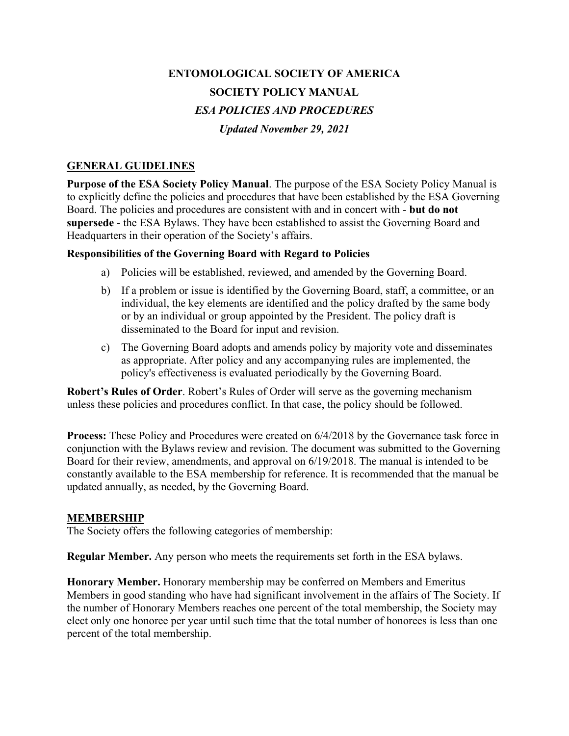# **ENTOMOLOGICAL SOCIETY OF AMERICA SOCIETY POLICY MANUAL** *ESA POLICIES AND PROCEDURES Updated November 29, 2021*

## **GENERAL GUIDELINES**

**Purpose of the ESA Society Policy Manual**. The purpose of the ESA Society Policy Manual is to explicitly define the policies and procedures that have been established by the ESA Governing Board. The policies and procedures are consistent with and in concert with - **but do not supersede** - the ESA Bylaws. They have been established to assist the Governing Board and Headquarters in their operation of the Society's affairs.

#### **Responsibilities of the Governing Board with Regard to Policies**

- a) Policies will be established, reviewed, and amended by the Governing Board.
- b) If a problem or issue is identified by the Governing Board, staff, a committee, or an individual, the key elements are identified and the policy drafted by the same body or by an individual or group appointed by the President. The policy draft is disseminated to the Board for input and revision.
- c) The Governing Board adopts and amends policy by majority vote and disseminates as appropriate. After policy and any accompanying rules are implemented, the policy's effectiveness is evaluated periodically by the Governing Board.

**Robert's Rules of Order**. Robert's Rules of Order will serve as the governing mechanism unless these policies and procedures conflict. In that case, the policy should be followed.

**Process:** These Policy and Procedures were created on 6/4/2018 by the Governance task force in conjunction with the Bylaws review and revision. The document was submitted to the Governing Board for their review, amendments, and approval on 6/19/2018. The manual is intended to be constantly available to the ESA membership for reference. It is recommended that the manual be updated annually, as needed, by the Governing Board.

#### **MEMBERSHIP**

The Society offers the following categories of membership:

**Regular Member.** Any person who meets the requirements set forth in the ESA bylaws.

**Honorary Member.** Honorary membership may be conferred on Members and Emeritus Members in good standing who have had significant involvement in the affairs of The Society. If the number of Honorary Members reaches one percent of the total membership, the Society may elect only one honoree per year until such time that the total number of honorees is less than one percent of the total membership.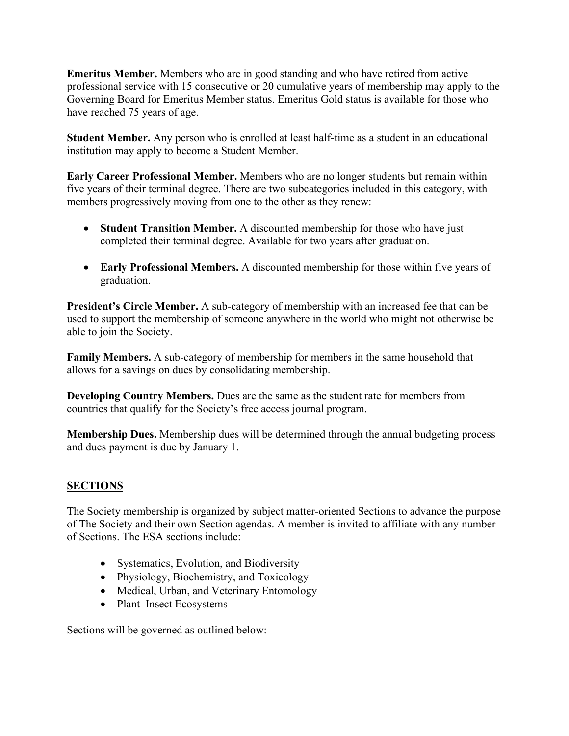**Emeritus Member.** Members who are in good standing and who have retired from active professional service with 15 consecutive or 20 cumulative years of membership may apply to the Governing Board for Emeritus Member status. Emeritus Gold status is available for those who have reached 75 years of age.

**Student Member.** Any person who is enrolled at least half-time as a student in an educational institution may apply to become a Student Member.

**Early Career Professional Member.** Members who are no longer students but remain within five years of their terminal degree. There are two subcategories included in this category, with members progressively moving from one to the other as they renew:

- **Student Transition Member.** A discounted membership for those who have just completed their terminal degree. Available for two years after graduation.
- **Early Professional Members.** A discounted membership for those within five years of graduation.

**President's Circle Member.** A sub-category of membership with an increased fee that can be used to support the membership of someone anywhere in the world who might not otherwise be able to join the Society.

**Family Members.** A sub-category of membership for members in the same household that allows for a savings on dues by consolidating membership.

**Developing Country Members.** Dues are the same as the student rate for members from countries that qualify for the Society's free access journal program.

**Membership Dues.** Membership dues will be determined through the annual budgeting process and dues payment is due by January 1.

## **SECTIONS**

The Society membership is organized by subject matter-oriented Sections to advance the purpose of The Society and their own Section agendas. A member is invited to affiliate with any number of Sections. The ESA sections include:

- Systematics, Evolution, and Biodiversity
- Physiology, Biochemistry, and Toxicology
- Medical, Urban, and Veterinary Entomology
- Plant–Insect Ecosystems

Sections will be governed as outlined below: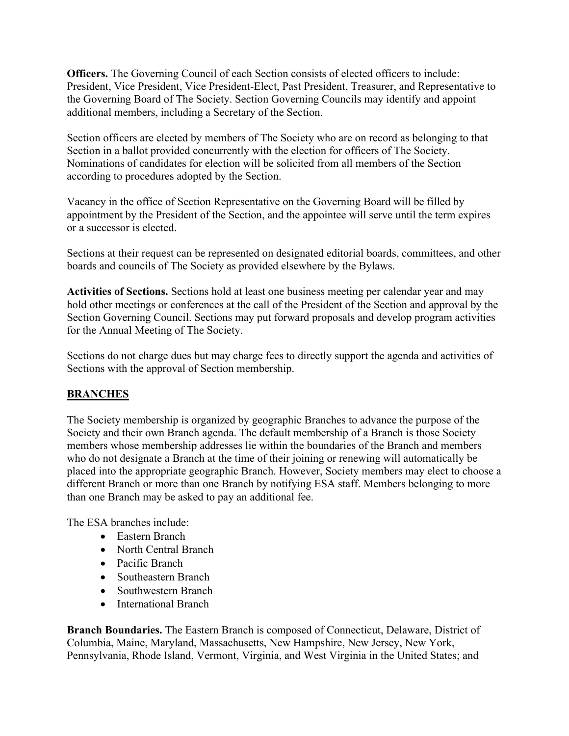**Officers.** The Governing Council of each Section consists of elected officers to include: President, Vice President, Vice President-Elect, Past President, Treasurer, and Representative to the Governing Board of The Society. Section Governing Councils may identify and appoint additional members, including a Secretary of the Section.

Section officers are elected by members of The Society who are on record as belonging to that Section in a ballot provided concurrently with the election for officers of The Society. Nominations of candidates for election will be solicited from all members of the Section according to procedures adopted by the Section.

Vacancy in the office of Section Representative on the Governing Board will be filled by appointment by the President of the Section, and the appointee will serve until the term expires or a successor is elected.

Sections at their request can be represented on designated editorial boards, committees, and other boards and councils of The Society as provided elsewhere by the Bylaws.

**Activities of Sections.** Sections hold at least one business meeting per calendar year and may hold other meetings or conferences at the call of the President of the Section and approval by the Section Governing Council. Sections may put forward proposals and develop program activities for the Annual Meeting of The Society.

Sections do not charge dues but may charge fees to directly support the agenda and activities of Sections with the approval of Section membership.

## **BRANCHES**

The Society membership is organized by geographic Branches to advance the purpose of the Society and their own Branch agenda. The default membership of a Branch is those Society members whose membership addresses lie within the boundaries of the Branch and members who do not designate a Branch at the time of their joining or renewing will automatically be placed into the appropriate geographic Branch. However, Society members may elect to choose a different Branch or more than one Branch by notifying ESA staff. Members belonging to more than one Branch may be asked to pay an additional fee.

The ESA branches include:

- Eastern Branch
- North Central Branch
- Pacific Branch
- Southeastern Branch
- Southwestern Branch
- International Branch

**Branch Boundaries.** The Eastern Branch is composed of Connecticut, Delaware, District of Columbia, Maine, Maryland, Massachusetts, New Hampshire, New Jersey, New York, Pennsylvania, Rhode Island, Vermont, Virginia, and West Virginia in the United States; and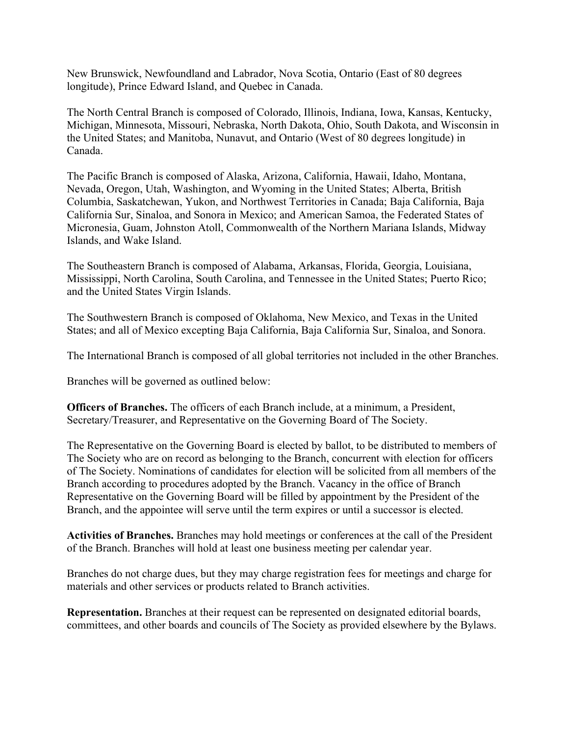New Brunswick, Newfoundland and Labrador, Nova Scotia, Ontario (East of 80 degrees longitude), Prince Edward Island, and Quebec in Canada.

The North Central Branch is composed of Colorado, Illinois, Indiana, Iowa, Kansas, Kentucky, Michigan, Minnesota, Missouri, Nebraska, North Dakota, Ohio, South Dakota, and Wisconsin in the United States; and Manitoba, Nunavut, and Ontario (West of 80 degrees longitude) in Canada.

The Pacific Branch is composed of Alaska, Arizona, California, Hawaii, Idaho, Montana, Nevada, Oregon, Utah, Washington, and Wyoming in the United States; Alberta, British Columbia, Saskatchewan, Yukon, and Northwest Territories in Canada; Baja California, Baja California Sur, Sinaloa, and Sonora in Mexico; and American Samoa, the Federated States of Micronesia, Guam, Johnston Atoll, Commonwealth of the Northern Mariana Islands, Midway Islands, and Wake Island.

The Southeastern Branch is composed of Alabama, Arkansas, Florida, Georgia, Louisiana, Mississippi, North Carolina, South Carolina, and Tennessee in the United States; Puerto Rico; and the United States Virgin Islands.

The Southwestern Branch is composed of Oklahoma, New Mexico, and Texas in the United States; and all of Mexico excepting Baja California, Baja California Sur, Sinaloa, and Sonora.

The International Branch is composed of all global territories not included in the other Branches.

Branches will be governed as outlined below:

**Officers of Branches.** The officers of each Branch include, at a minimum, a President, Secretary/Treasurer, and Representative on the Governing Board of The Society.

The Representative on the Governing Board is elected by ballot, to be distributed to members of The Society who are on record as belonging to the Branch, concurrent with election for officers of The Society. Nominations of candidates for election will be solicited from all members of the Branch according to procedures adopted by the Branch. Vacancy in the office of Branch Representative on the Governing Board will be filled by appointment by the President of the Branch, and the appointee will serve until the term expires or until a successor is elected.

**Activities of Branches.** Branches may hold meetings or conferences at the call of the President of the Branch. Branches will hold at least one business meeting per calendar year.

Branches do not charge dues, but they may charge registration fees for meetings and charge for materials and other services or products related to Branch activities.

**Representation.** Branches at their request can be represented on designated editorial boards, committees, and other boards and councils of The Society as provided elsewhere by the Bylaws.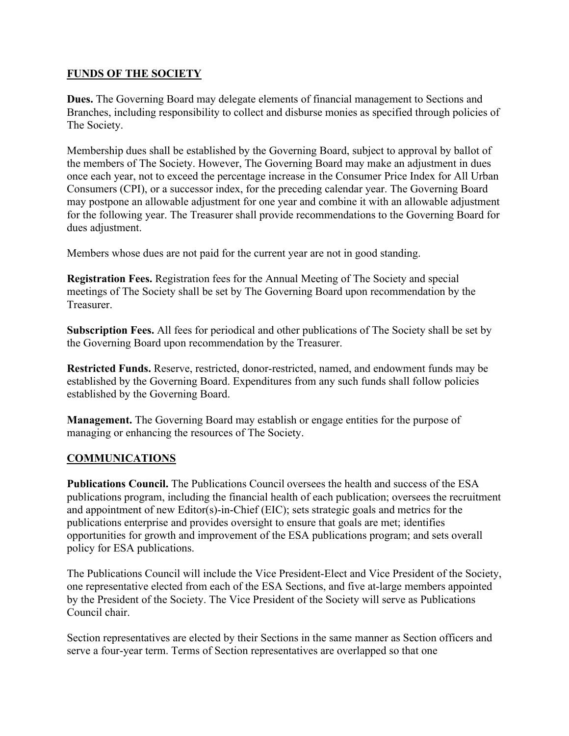## **FUNDS OF THE SOCIETY**

**Dues.** The Governing Board may delegate elements of financial management to Sections and Branches, including responsibility to collect and disburse monies as specified through policies of The Society.

Membership dues shall be established by the Governing Board, subject to approval by ballot of the members of The Society. However, The Governing Board may make an adjustment in dues once each year, not to exceed the percentage increase in the Consumer Price Index for All Urban Consumers (CPI), or a successor index, for the preceding calendar year. The Governing Board may postpone an allowable adjustment for one year and combine it with an allowable adjustment for the following year. The Treasurer shall provide recommendations to the Governing Board for dues adjustment.

Members whose dues are not paid for the current year are not in good standing.

**Registration Fees.** Registration fees for the Annual Meeting of The Society and special meetings of The Society shall be set by The Governing Board upon recommendation by the Treasurer.

**Subscription Fees.** All fees for periodical and other publications of The Society shall be set by the Governing Board upon recommendation by the Treasurer.

**Restricted Funds.** Reserve, restricted, donor-restricted, named, and endowment funds may be established by the Governing Board. Expenditures from any such funds shall follow policies established by the Governing Board.

**Management.** The Governing Board may establish or engage entities for the purpose of managing or enhancing the resources of The Society.

## **COMMUNICATIONS**

**Publications Council.** The Publications Council oversees the health and success of the ESA publications program, including the financial health of each publication; oversees the recruitment and appointment of new Editor(s)-in-Chief (EIC); sets strategic goals and metrics for the publications enterprise and provides oversight to ensure that goals are met; identifies opportunities for growth and improvement of the ESA publications program; and sets overall policy for ESA publications.

The Publications Council will include the Vice President-Elect and Vice President of the Society, one representative elected from each of the ESA Sections, and five at-large members appointed by the President of the Society. The Vice President of the Society will serve as Publications Council chair.

Section representatives are elected by their Sections in the same manner as Section officers and serve a four-year term. Terms of Section representatives are overlapped so that one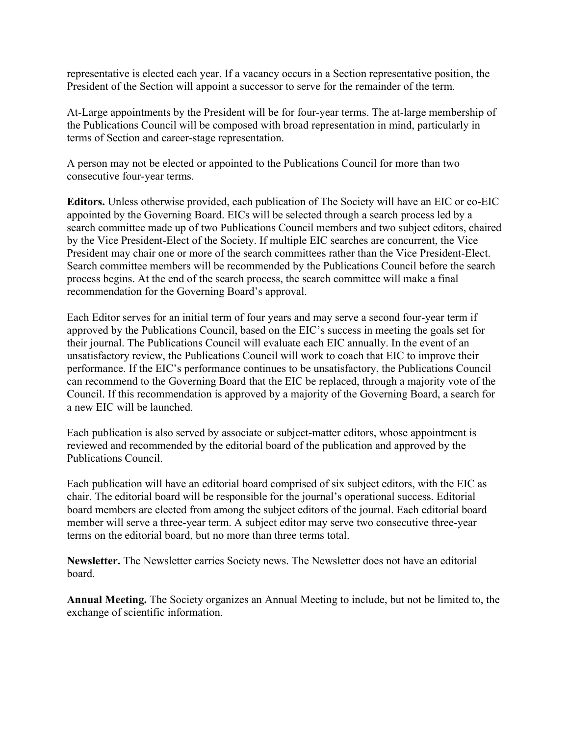representative is elected each year. If a vacancy occurs in a Section representative position, the President of the Section will appoint a successor to serve for the remainder of the term.

At-Large appointments by the President will be for four-year terms. The at-large membership of the Publications Council will be composed with broad representation in mind, particularly in terms of Section and career-stage representation.

A person may not be elected or appointed to the Publications Council for more than two consecutive four-year terms.

**Editors.** Unless otherwise provided, each publication of The Society will have an EIC or co-EIC appointed by the Governing Board. EICs will be selected through a search process led by a search committee made up of two Publications Council members and two subject editors, chaired by the Vice President-Elect of the Society. If multiple EIC searches are concurrent, the Vice President may chair one or more of the search committees rather than the Vice President-Elect. Search committee members will be recommended by the Publications Council before the search process begins. At the end of the search process, the search committee will make a final recommendation for the Governing Board's approval.

Each Editor serves for an initial term of four years and may serve a second four-year term if approved by the Publications Council, based on the EIC's success in meeting the goals set for their journal. The Publications Council will evaluate each EIC annually. In the event of an unsatisfactory review, the Publications Council will work to coach that EIC to improve their performance. If the EIC's performance continues to be unsatisfactory, the Publications Council can recommend to the Governing Board that the EIC be replaced, through a majority vote of the Council. If this recommendation is approved by a majority of the Governing Board, a search for a new EIC will be launched.

Each publication is also served by associate or subject-matter editors, whose appointment is reviewed and recommended by the editorial board of the publication and approved by the Publications Council.

Each publication will have an editorial board comprised of six subject editors, with the EIC as chair. The editorial board will be responsible for the journal's operational success. Editorial board members are elected from among the subject editors of the journal. Each editorial board member will serve a three-year term. A subject editor may serve two consecutive three-year terms on the editorial board, but no more than three terms total.

**Newsletter.** The Newsletter carries Society news. The Newsletter does not have an editorial board.

**Annual Meeting.** The Society organizes an Annual Meeting to include, but not be limited to, the exchange of scientific information.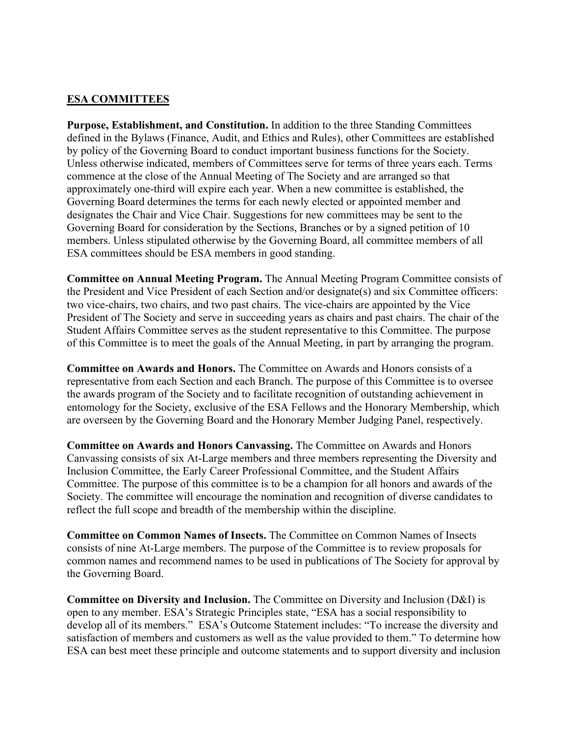## **ESA COMMITTEES**

**Purpose, Establishment, and Constitution.** In addition to the three Standing Committees defined in the Bylaws (Finance, Audit, and Ethics and Rules), other Committees are established by policy of the Governing Board to conduct important business functions for the Society. Unless otherwise indicated, members of Committees serve for terms of three years each. Terms commence at the close of the Annual Meeting of The Society and are arranged so that approximately one-third will expire each year. When a new committee is established, the Governing Board determines the terms for each newly elected or appointed member and designates the Chair and Vice Chair. Suggestions for new committees may be sent to the Governing Board for consideration by the Sections, Branches or by a signed petition of 10 members. Unless stipulated otherwise by the Governing Board, all committee members of all ESA committees should be ESA members in good standing.

**Committee on Annual Meeting Program.** The Annual Meeting Program Committee consists of the President and Vice President of each Section and/or designate(s) and six Committee officers: two vice-chairs, two chairs, and two past chairs. The vice-chairs are appointed by the Vice President of The Society and serve in succeeding years as chairs and past chairs. The chair of the Student Affairs Committee serves as the student representative to this Committee. The purpose of this Committee is to meet the goals of the Annual Meeting, in part by arranging the program.

**Committee on Awards and Honors.** The Committee on Awards and Honors consists of a representative from each Section and each Branch. The purpose of this Committee is to oversee the awards program of the Society and to facilitate recognition of outstanding achievement in entomology for the Society, exclusive of the ESA Fellows and the Honorary Membership, which are overseen by the Governing Board and the Honorary Member Judging Panel, respectively.

**Committee on Awards and Honors Canvassing.** The Committee on Awards and Honors Canvassing consists of six At-Large members and three members representing the Diversity and Inclusion Committee, the Early Career Professional Committee, and the Student Affairs Committee. The purpose of this committee is to be a champion for all honors and awards of the Society. The committee will encourage the nomination and recognition of diverse candidates to reflect the full scope and breadth of the membership within the discipline.

**Committee on Common Names of Insects.** The Committee on Common Names of Insects consists of nine At-Large members. The purpose of the Committee is to review proposals for common names and recommend names to be used in publications of The Society for approval by the Governing Board.

**Committee on Diversity and Inclusion.** The Committee on Diversity and Inclusion (D&I) is open to any member. ESA's Strategic Principles state, "ESA has a social responsibility to develop all of its members." ESA's Outcome Statement includes: "To increase the diversity and satisfaction of members and customers as well as the value provided to them." To determine how ESA can best meet these principle and outcome statements and to support diversity and inclusion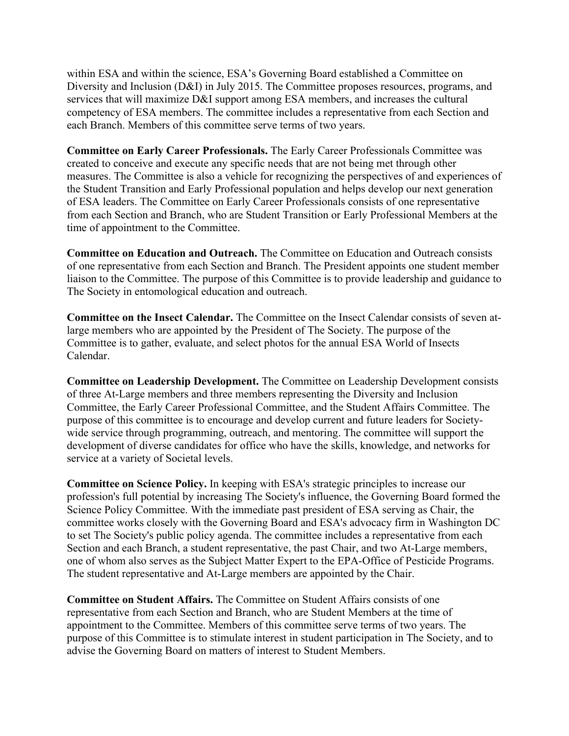within ESA and within the science, ESA's Governing Board established a Committee on Diversity and Inclusion (D&I) in July 2015. The Committee proposes resources, programs, and services that will maximize D&I support among ESA members, and increases the cultural competency of ESA members. The committee includes a representative from each Section and each Branch. Members of this committee serve terms of two years.

**Committee on Early Career Professionals.** The Early Career Professionals Committee was created to conceive and execute any specific needs that are not being met through other measures. The Committee is also a vehicle for recognizing the perspectives of and experiences of the Student Transition and Early Professional population and helps develop our next generation of ESA leaders. The Committee on Early Career Professionals consists of one representative from each Section and Branch, who are Student Transition or Early Professional Members at the time of appointment to the Committee.

**Committee on Education and Outreach.** The Committee on Education and Outreach consists of one representative from each Section and Branch. The President appoints one student member liaison to the Committee. The purpose of this Committee is to provide leadership and guidance to The Society in entomological education and outreach.

**Committee on the Insect Calendar.** The Committee on the Insect Calendar consists of seven atlarge members who are appointed by the President of The Society. The purpose of the Committee is to gather, evaluate, and select photos for the annual ESA World of Insects Calendar.

**Committee on Leadership Development.** The Committee on Leadership Development consists of three At-Large members and three members representing the Diversity and Inclusion Committee, the Early Career Professional Committee, and the Student Affairs Committee. The purpose of this committee is to encourage and develop current and future leaders for Societywide service through programming, outreach, and mentoring. The committee will support the development of diverse candidates for office who have the skills, knowledge, and networks for service at a variety of Societal levels.

**Committee on Science Policy.** In keeping with ESA's strategic principles to increase our profession's full potential by increasing The Society's influence, the Governing Board formed the Science Policy Committee. With the immediate past president of ESA serving as Chair, the committee works closely with the Governing Board and ESA's advocacy firm in Washington DC to set The Society's public policy agenda. The committee includes a representative from each Section and each Branch, a student representative, the past Chair, and two At-Large members, one of whom also serves as the Subject Matter Expert to the EPA-Office of Pesticide Programs. The student representative and At-Large members are appointed by the Chair.

**Committee on Student Affairs.** The Committee on Student Affairs consists of one representative from each Section and Branch, who are Student Members at the time of appointment to the Committee. Members of this committee serve terms of two years. The purpose of this Committee is to stimulate interest in student participation in The Society, and to advise the Governing Board on matters of interest to Student Members.